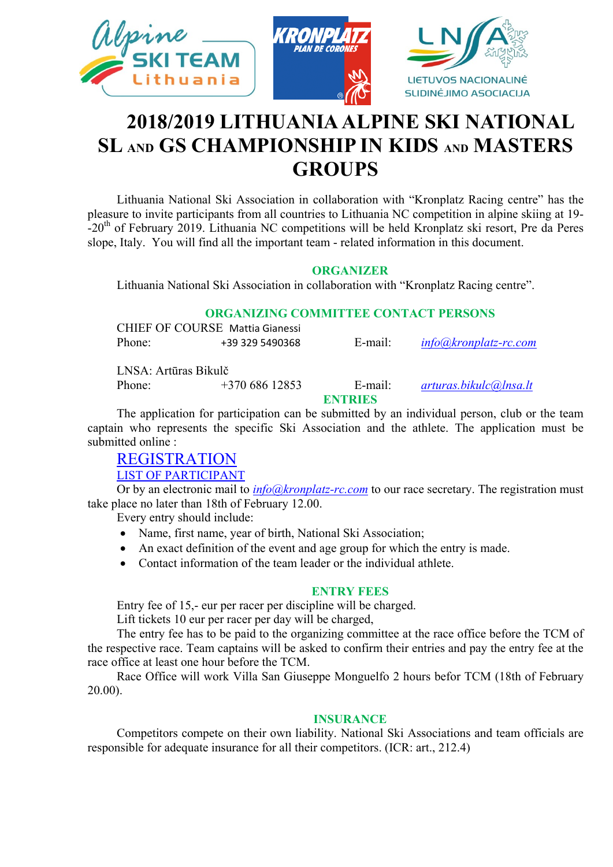

# **2018/2019 LITHUANIA ALPINE SKI NATIONAL SL AND GS CHAMPIONSHIP IN KIDS AND MASTERS GROUPS**

Lithuania National Ski Association in collaboration with "Kronplatz Racing centre" has the pleasure to invite participants from all countries to Lithuania NC competition in alpine skiing at 19-  $-20<sup>th</sup>$  of February 2019. Lithuania NC competitions will be held Kronplatz ski resort, Pre da Peres slope, Italy. You will find all the important team - related information in this document.

#### **ORGANIZER**

Lithuania National Ski Association in collaboration with "Kronplatz Racing centre".

#### **ORGANIZING COMMITTEE CONTACT PERSONS**

|        | CHIEF OF COURSE Mattia Gianessi |         |                       |
|--------|---------------------------------|---------|-----------------------|
| Phone: | +39 329 5490368                 | E-mail: | info@kronplatz-rc.com |

LNSA: Artūras Bikulč

Phone: +370 686 12853 E-mail: *[arturas.bikulc@lnsa.lt](mailto:arturas.bikulc@lnsa.lt)*

#### **ENTRIES**

The application for participation can be submitted by an individual person, club or the team captain who represents the specific Ski Association and the athlete. The application must be submitted online :

# [REGISTRATION](https://docs.google.com/forms/d/e/1FAIpQLSeOLVRtzBK8exNAFMZNCojKIVuTD9DFBC8TbkNtImJdrFEpLg/viewform?usp=sf_link)

[LIST OF PARTICIPANT](https://docs.google.com/spreadsheets/d/19uyfan88Rb_47UdllJnpM9Q3mcw9l-_Pm1JI4n8LCNs/edit?usp=sharing)

Or by an electronic mail to *[info@kronplatz-rc.com](mailto:info@kronplatz-rc.com)* to our race secretary. The registration must take place no later than 18th of February 12.00.

Every entry should include:

- Name, first name, year of birth, National Ski Association;
- An exact definition of the event and age group for which the entry is made.
- Contact information of the team leader or the individual athlete.

#### **ENTRY FEES**

Entry fee of 15,- eur per racer per discipline will be charged.

Lift tickets 10 eur per racer per day will be charged,

The entry fee has to be paid to the organizing committee at the race office before the TCM of the respective race. Team captains will be asked to confirm their entries and pay the entry fee at the race office at least one hour before the TCM.

Race Office will work Villa San Giuseppe Monguelfo 2 hours befor TCM (18th of February 20.00).

#### **INSURANCE**

Competitors compete on their own liability. National Ski Associations and team officials are responsible for adequate insurance for all their competitors. (ICR: art., 212.4)